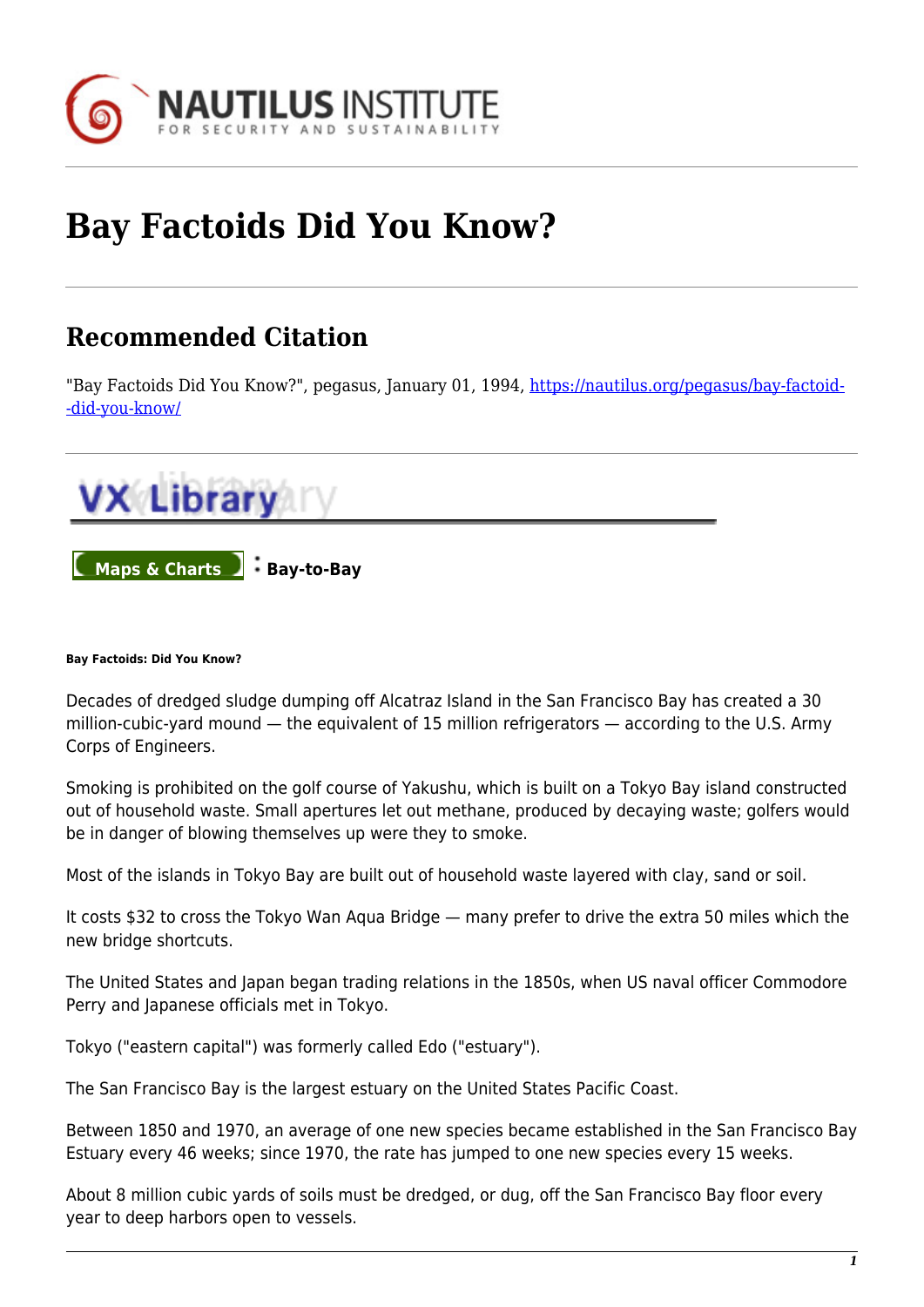

## **Bay Factoids Did You Know?**

## **Recommended Citation**

"Bay Factoids Did You Know?", pegasus, January 01, 1994, [https://nautilus.org/pegasus/bay-factoid-](https://nautilus.org/pegasus/bay-factoids-did-you-know/) [-did-you-know/](https://nautilus.org/pegasus/bay-factoids-did-you-know/)



## **Bay Factoids: Did You Know?**

Decades of dredged sludge dumping off Alcatraz Island in the San Francisco Bay has created a 30 million-cubic-yard mound — the equivalent of 15 million refrigerators — according to the U.S. Army Corps of Engineers.

Smoking is prohibited on the golf course of Yakushu, which is built on a Tokyo Bay island constructed out of household waste. Small apertures let out methane, produced by decaying waste; golfers would be in danger of blowing themselves up were they to smoke.

Most of the islands in Tokyo Bay are built out of household waste layered with clay, sand or soil.

It costs \$32 to cross the Tokyo Wan Aqua Bridge — many prefer to drive the extra 50 miles which the new bridge shortcuts.

The United States and Japan began trading relations in the 1850s, when US naval officer Commodore Perry and Japanese officials met in Tokyo.

Tokyo ("eastern capital") was formerly called Edo ("estuary").

The San Francisco Bay is the largest estuary on the United States Pacific Coast.

Between 1850 and 1970, an average of one new species became established in the San Francisco Bay Estuary every 46 weeks; since 1970, the rate has jumped to one new species every 15 weeks.

About 8 million cubic yards of soils must be dredged, or dug, off the San Francisco Bay floor every year to deep harbors open to vessels.